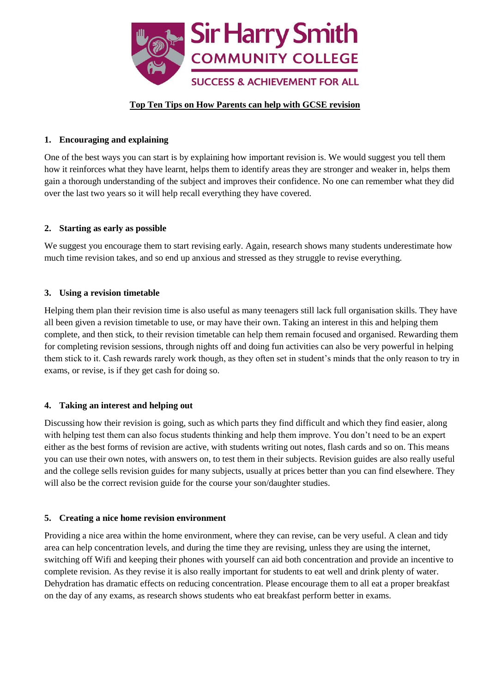

## **Top Ten Tips on How Parents can help with GCSE revision**

# **1. Encouraging and explaining**

One of the best ways you can start is by explaining how important revision is. We would suggest you tell them how it reinforces what they have learnt, helps them to identify areas they are stronger and weaker in, helps them gain a thorough understanding of the subject and improves their confidence. No one can remember what they did over the last two years so it will help recall everything they have covered.

## **2. Starting as early as possible**

We suggest you encourage them to start revising early. Again, research shows many students underestimate how much time revision takes, and so end up anxious and stressed as they struggle to revise everything.

# **3. Using a revision timetable**

Helping them plan their revision time is also useful as many teenagers still lack full organisation skills. They have all been given a revision timetable to use, or may have their own. Taking an interest in this and helping them complete, and then stick, to their revision timetable can help them remain focused and organised. Rewarding them for completing revision sessions, through nights off and doing fun activities can also be very powerful in helping them stick to it. Cash rewards rarely work though, as they often set in student's minds that the only reason to try in exams, or revise, is if they get cash for doing so.

## **4. Taking an interest and helping out**

Discussing how their revision is going, such as which parts they find difficult and which they find easier, along with helping test them can also focus students thinking and help them improve. You don't need to be an expert either as the best forms of revision are active, with students writing out notes, flash cards and so on. This means you can use their own notes, with answers on, to test them in their subjects. Revision guides are also really useful and the college sells revision guides for many subjects, usually at prices better than you can find elsewhere. They will also be the correct revision guide for the course your son/daughter studies.

## **5. Creating a nice home revision environment**

Providing a nice area within the home environment, where they can revise, can be very useful. A clean and tidy area can help concentration levels, and during the time they are revising, unless they are using the internet, switching off Wifi and keeping their phones with yourself can aid both concentration and provide an incentive to complete revision. As they revise it is also really important for students to eat well and drink plenty of water. Dehydration has dramatic effects on reducing concentration. Please encourage them to all eat a proper breakfast on the day of any exams, as research shows students who eat breakfast perform better in exams.